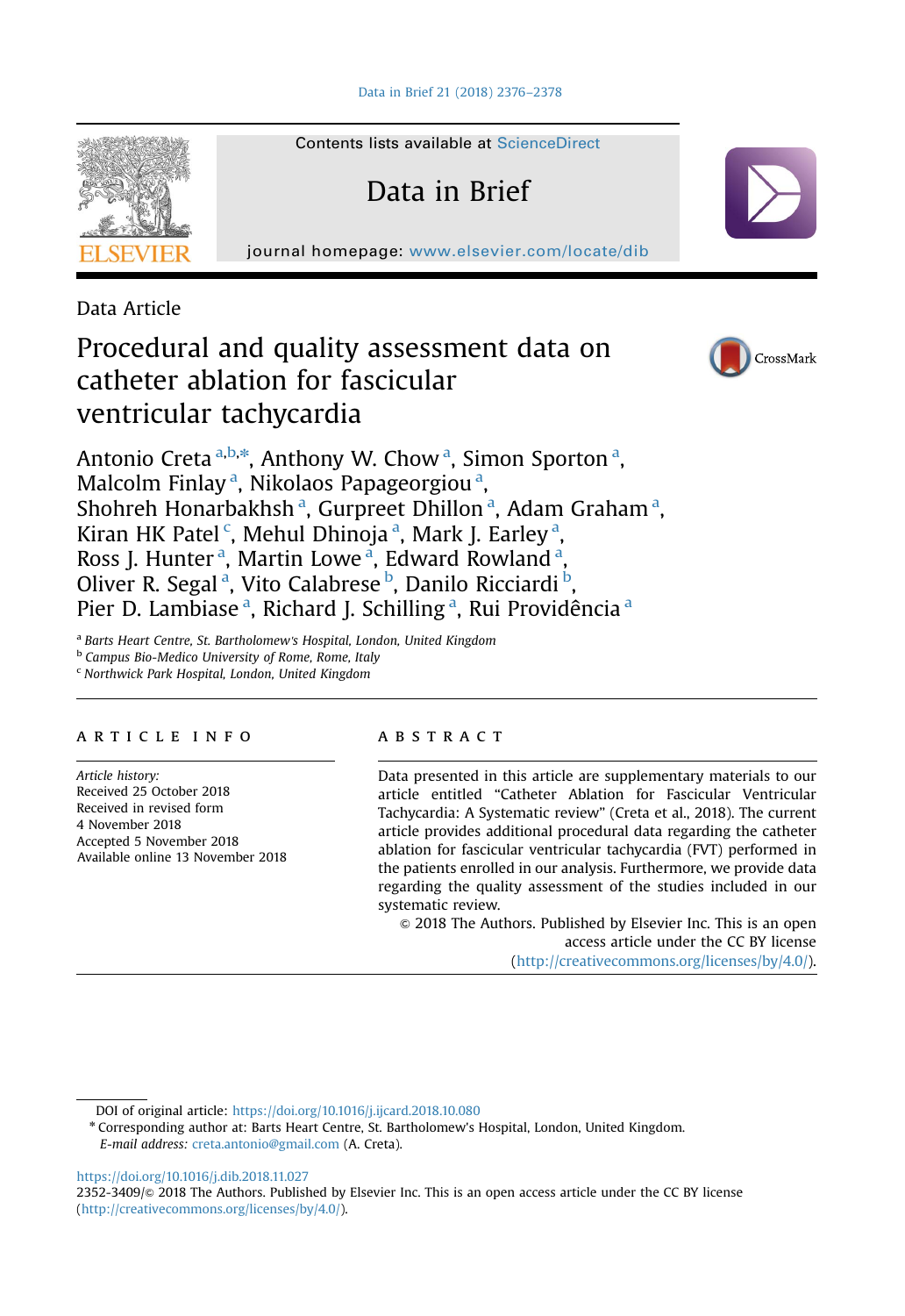

Contents lists available at [ScienceDirect](www.sciencedirect.com/science/journal/23523409)

Data in Brief

journal homepage: <www.elsevier.com/locate/dib>

Data Article

# Procedural and quality assessment data on catheter ablation for fascicular ventricular tachycardia



Antonio Creta <sup>a,b,\*</sup>, Anthony W. Chow <sup>a</sup>, Simon Sporton <sup>a</sup>, Malcolm Finlay<sup>a</sup>, Nikolaos Papageorgiou<sup>a</sup>, Shohreh Honarbakhsh<sup>a</sup>, Gurpreet Dhillon<sup>a</sup>, Adam Graham<sup>a</sup>, Kiran HK Patel <sup>c</sup>, Mehul Dhinoja <sup>a</sup>, Mark J. Earley <sup>a</sup>, Ross J. Hunter<sup>a</sup>, Martin Lowe<sup>a</sup>, Edward Rowland<sup>a</sup>, Oliver R. Segal<sup>a</sup>, Vito Calabrese<sup>b</sup>, Danilo Ricciardi<sup>b</sup>, Pier D. Lambiase<sup>a</sup>, Richard J. Schilling<sup>a</sup>, Rui Providência<sup>a</sup>

<sup>a</sup> Barts Heart Centre, St. Bartholomew's Hospital, London, United Kingdom

**b Campus Bio-Medico University of Rome, Rome, Italy** 

<sup>c</sup> Northwick Park Hospital, London, United Kingdom

# article info

Article history: Received 25 October 2018 Received in revised form 4 November 2018 Accepted 5 November 2018 Available online 13 November 2018

### **ABSTRACT**

Data presented in this article are supplementary materials to our article entitled "Catheter Ablation for Fascicular Ventricular Tachycardia: A Systematic review" (Creta et al., 2018). The current article provides additional procedural data regarding the catheter ablation for fascicular ventricular tachycardia (FVT) performed in the patients enrolled in our analysis. Furthermore, we provide data regarding the quality assessment of the studies included in our systematic review.

 $\odot$  2018 The Authors. Published by Elsevier Inc. This is an open access article under the CC BY license (http://creativecommons.org/licenses/by/4.0/).

DOI of original article: [https://doi.org/10.1016/j.ijcard.2018.10.080](http://dx.doi.org/10.1016/j.ijcard.2018.10.080)

E-mail address: [creta.antonio@gmail.com](mailto:creta.antonio@gmail.com) (A. Creta).

<https://doi.org/10.1016/j.dib.2018.11.027>

2352-3409/ $\circ$  2018 The Authors. Published by Elsevier Inc. This is an open access article under the CC BY license (http://creativecommons.org/licenses/by/4.0/).

<sup>n</sup> Corresponding author at: Barts Heart Centre, St. Bartholomew's Hospital, London, United Kingdom.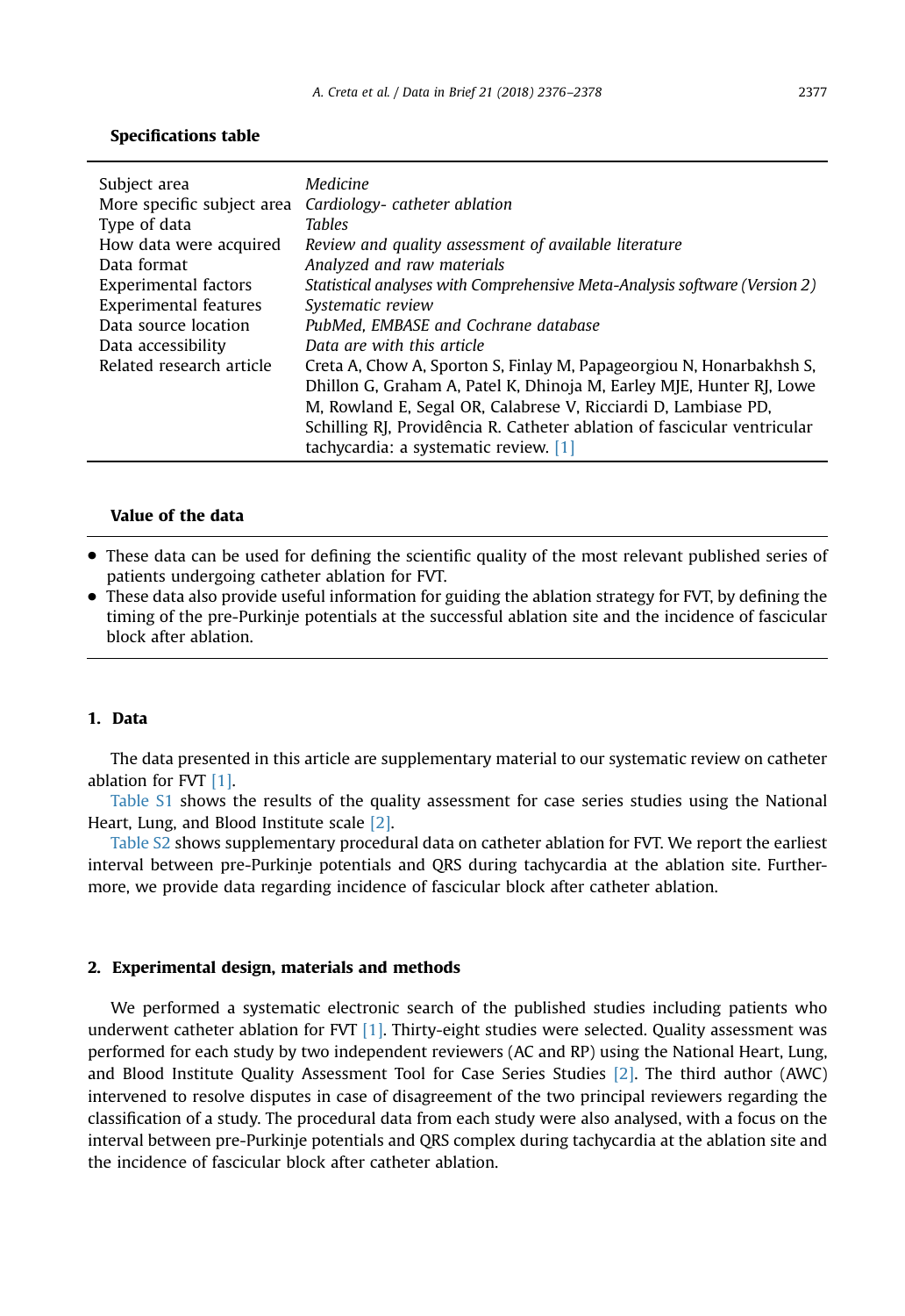| Subject area<br>More specific subject area<br>Type of data<br>How data were acquired<br>Data format<br>Experimental factors<br><b>Experimental features</b><br>Data source location<br>Data accessibility<br>Related research article | Medicine<br>Cardiology-catheter ablation<br><b>Tables</b><br>Review and quality assessment of available literature<br>Analyzed and raw materials<br>Statistical analyses with Comprehensive Meta-Analysis software (Version 2)<br>Systematic review<br>PubMed, EMBASE and Cochrane database<br>Data are with this article<br>Creta A, Chow A, Sporton S, Finlay M, Papageorgiou N, Honarbakhsh S,<br>Dhillon G, Graham A, Patel K, Dhinoja M, Earley MJE, Hunter RJ, Lowe<br>M, Rowland E, Segal OR, Calabrese V, Ricciardi D, Lambiase PD, |
|---------------------------------------------------------------------------------------------------------------------------------------------------------------------------------------------------------------------------------------|---------------------------------------------------------------------------------------------------------------------------------------------------------------------------------------------------------------------------------------------------------------------------------------------------------------------------------------------------------------------------------------------------------------------------------------------------------------------------------------------------------------------------------------------|
|                                                                                                                                                                                                                                       | Schilling RJ, Providência R. Catheter ablation of fascicular ventricular<br>tachycardia: a systematic review. [1]                                                                                                                                                                                                                                                                                                                                                                                                                           |

# Specifications table

# Value of the data

- These data can be used for defining the scientific quality of the most relevant published series of patients undergoing catheter ablation for FVT.
- These data also provide useful information for guiding the ablation strategy for FVT, by defining the timing of the pre-Purkinje potentials at the successful ablation site and the incidence of fascicular block after ablation.

# 1. Data

The data presented in this article are supplementary material to our systematic review on catheter ablation for FVT [\[1\].](#page-2-0)

Table S1 shows the results of the quality assessment for case series studies using the National Heart, Lung, and Blood Institute scale [\[2\]](#page-2-0).

Table S2 shows supplementary procedural data on catheter ablation for FVT. We report the earliest interval between pre-Purkinje potentials and QRS during tachycardia at the ablation site. Furthermore, we provide data regarding incidence of fascicular block after catheter ablation.

# 2. Experimental design, materials and methods

We performed a systematic electronic search of the published studies including patients who underwent catheter ablation for FVT [\[1\]](#page-2-0). Thirty-eight studies were selected. Quality assessment was performed for each study by two independent reviewers (AC and RP) using the National Heart, Lung, and Blood Institute Quality Assessment Tool for Case Series Studies [\[2\]](#page-2-0). The third author (AWC) intervened to resolve disputes in case of disagreement of the two principal reviewers regarding the classification of a study. The procedural data from each study were also analysed, with a focus on the interval between pre-Purkinje potentials and QRS complex during tachycardia at the ablation site and the incidence of fascicular block after catheter ablation.